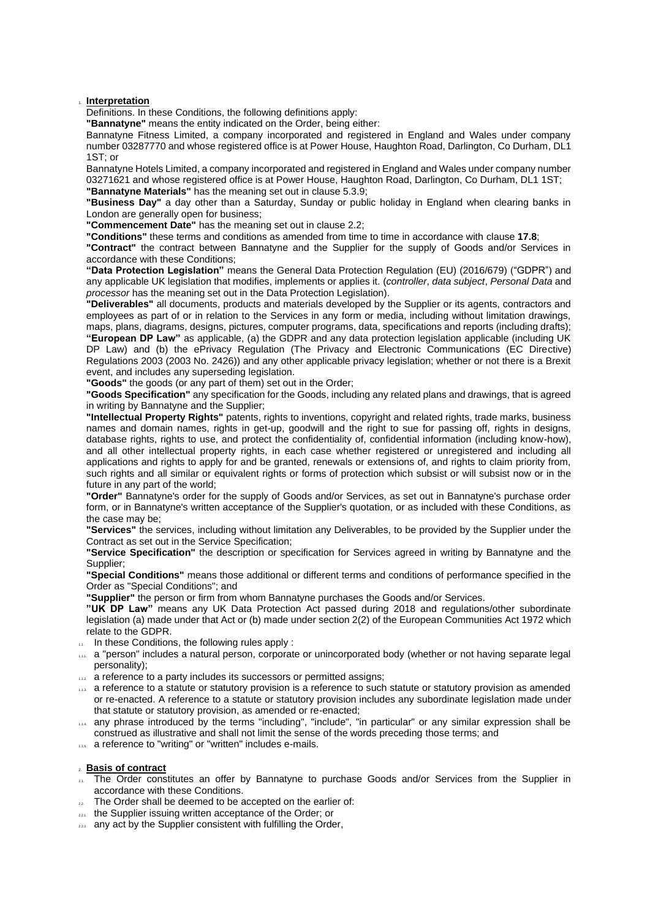### 1. **Interpretation**

Definitions. In these Conditions, the following definitions apply:

**"Bannatyne"** means the entity indicated on the Order, being either:

Bannatyne Fitness Limited, a company incorporated and registered in England and Wales under company number 03287770 and whose registered office is at Power House, Haughton Road, Darlington, Co Durham, DL1 1ST; or

Bannatyne Hotels Limited, a company incorporated and registered in England and Wales under company number 03271621 and whose registered office is at Power House, Haughton Road, Darlington, Co Durham, DL1 1ST; **"Bannatyne Materials"** has the meaning set out in clause [5.3.9;](#page-2-0)

**"Business Day"** a day other than a Saturday, Sunday or public holiday in England when clearing banks in London are generally open for business;

**"Commencement Date"** has the meaning set out in claus[e 2.2;](#page-0-0)

**"Conditions"** these terms and conditions as amended from time to time in accordance with clause **[17.8](#page-6-0)**;

**"Contract"** the contract between Bannatyne and the Supplier for the supply of Goods and/or Services in accordance with these Conditions;

**"Data Protection Legislation"** means the General Data Protection Regulation (EU) (2016/679) ("GDPR") and any applicable UK legislation that modifies, implements or applies it. (*controller*, *data subject*, *Personal Data* and *processor* has the meaning set out in the Data Protection Legislation).

**"Deliverables"** all documents, products and materials developed by the Supplier or its agents, contractors and employees as part of or in relation to the Services in any form or media, including without limitation drawings, maps, plans, diagrams, designs, pictures, computer programs, data, specifications and reports (including drafts); **"European DP Law"** as applicable, (a) the GDPR and any data protection legislation applicable (including UK DP Law) and (b) the ePrivacy Regulation (The Privacy and Electronic Communications (EC Directive) Regulations 2003 (2003 No. 2426)) and any other applicable privacy legislation; whether or not there is a Brexit event, and includes any superseding legislation.

**"Goods"** the goods (or any part of them) set out in the Order;

**"Goods Specification"** any specification for the Goods, including any related plans and drawings, that is agreed in writing by Bannatyne and the Supplier;

**"Intellectual Property Rights"** patents, rights to inventions, copyright and related rights, trade marks, business names and domain names, rights in get-up, goodwill and the right to sue for passing off, rights in designs, database rights, rights to use, and protect the confidentiality of, confidential information (including know-how), and all other intellectual property rights, in each case whether registered or unregistered and including all applications and rights to apply for and be granted, renewals or extensions of, and rights to claim priority from, such rights and all similar or equivalent rights or forms of protection which subsist or will subsist now or in the future in any part of the world;

**"Order"** Bannatyne's order for the supply of Goods and/or Services, as set out in Bannatyne's purchase order form, or in Bannatyne's written acceptance of the Supplier's quotation, or as included with these Conditions, as the case may be;

**"Services"** the services, including without limitation any Deliverables, to be provided by the Supplier under the Contract as set out in the Service Specification;

**"Service Specification"** the description or specification for Services agreed in writing by Bannatyne and the Supplier;

**"Special Conditions"** means those additional or different terms and conditions of performance specified in the Order as "Special Conditions"; and

**"Supplier"** the person or firm from whom Bannatyne purchases the Goods and/or Services.

**"UK DP Law"** means any UK Data Protection Act passed during 2018 and regulations/other subordinate legislation (a) made under that Act or (b) made under section 2(2) of the European Communities Act 1972 which relate to the GDPR.

- 1.1. In these Conditions, the following rules apply :
- 1.1.1. a "person" includes a natural person, corporate or unincorporated body (whether or not having separate legal personality);
- 1.12. a reference to a party includes its successors or permitted assigns;
- 1.13. a reference to a statute or statutory provision is a reference to such statute or statutory provision as amended or re-enacted. A reference to a statute or statutory provision includes any subordinate legislation made under that statute or statutory provision, as amended or re-enacted;
- 1.1.4. any phrase introduced by the terms "including", "include", "in particular" or any similar expression shall be construed as illustrative and shall not limit the sense of the words preceding those terms; and
- 1.15. a reference to "writing" or "written" includes e-mails.

## 2. **Basis of contract**

- 2.1. The Order constitutes an offer by Bannatyne to purchase Goods and/or Services from the Supplier in accordance with these Conditions.
- <span id="page-0-0"></span>22. The Order shall be deemed to be accepted on the earlier of:
- **221.** the Supplier issuing written acceptance of the Order; or
- 222 any act by the Supplier consistent with fulfilling the Order,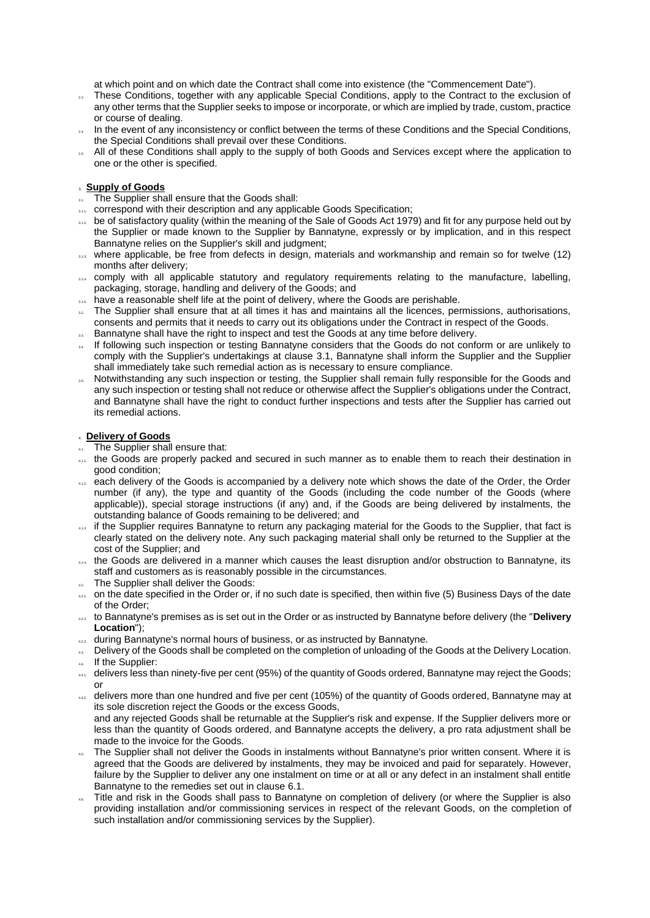at which point and on which date the Contract shall come into existence (the "Commencement Date").

- <sup>23</sup>. These Conditions, together with any applicable Special Conditions, apply to the Contract to the exclusion of any other terms that the Supplier seeks to impose or incorporate, or which are implied by trade, custom, practice or course of dealing.
- $\mu$  In the event of any inconsistency or conflict between the terms of these Conditions and the Special Conditions, the Special Conditions shall prevail over these Conditions.
- 2.5. All of these Conditions shall apply to the supply of both Goods and Services except where the application to one or the other is specified.

# 3. **Supply of Goods**

- <span id="page-1-0"></span>3.1. The Supplier shall ensure that the Goods shall:
- 3.1.1. correspond with their description and any applicable Goods Specification;
- 312. be of satisfactory quality (within the meaning of the Sale of Goods Act 1979) and fit for any purpose held out by the Supplier or made known to the Supplier by Bannatyne, expressly or by implication, and in this respect Bannatyne relies on the Supplier's skill and judgment;
- 31.3. where applicable, be free from defects in design, materials and workmanship and remain so for twelve (12) months after delivery;
- 31.4. comply with all applicable statutory and regulatory requirements relating to the manufacture, labelling, packaging, storage, handling and delivery of the Goods; and
- **115.** have a reasonable shelf life at the point of delivery, where the Goods are perishable.
- 3.2. The Supplier shall ensure that at all times it has and maintains all the licences, permissions, authorisations, consents and permits that it needs to carry out its obligations under the Contract in respect of the Goods.
- <sup>33</sup>. Bannatyne shall have the right to inspect and test the Goods at any time before delivery.
- 14. If following such inspection or testing Bannatyne considers that the Goods do not conform or are unlikely to comply with the Supplier's undertakings at clause [3.1,](#page-1-0) Bannatyne shall inform the Supplier and the Supplier shall immediately take such remedial action as is necessary to ensure compliance.
- 3.5. Notwithstanding any such inspection or testing, the Supplier shall remain fully responsible for the Goods and any such inspection or testing shall not reduce or otherwise affect the Supplier's obligations under the Contract, and Bannatyne shall have the right to conduct further inspections and tests after the Supplier has carried out its remedial actions.

### 4. **Delivery of Goods**

- The Supplier shall ensure that:
- 4.1. the Goods are properly packed and secured in such manner as to enable them to reach their destination in good condition;
- 412. each delivery of the Goods is accompanied by a delivery note which shows the date of the Order, the Order number (if any), the type and quantity of the Goods (including the code number of the Goods (where applicable)), special storage instructions (if any) and, if the Goods are being delivered by instalments, the outstanding balance of Goods remaining to be delivered; and
- <sup>413</sup>. If the Supplier requires Bannatyne to return any packaging material for the Goods to the Supplier, that fact is clearly stated on the delivery note. Any such packaging material shall only be returned to the Supplier at the cost of the Supplier; and
- 414. the Goods are delivered in a manner which causes the least disruption and/or obstruction to Bannatyne, its staff and customers as is reasonably possible in the circumstances.
- 42. The Supplier shall deliver the Goods:
- <sub>421.</sub> on the date specified in the Order or, if no such date is specified, then within five (5) Business Days of the date of the Order;
- 4.2.2. to Bannatyne's premises as is set out in the Order or as instructed by Bannatyne before delivery (the "**Delivery Location**");
- 423. during Bannatyne's normal hours of business, or as instructed by Bannatyne.
- 4. Delivery of the Goods shall be completed on the completion of unloading of the Goods at the Delivery Location. 4.4. If the Supplier:
- 441. delivers less than ninety-five per cent (95%) of the quantity of Goods ordered, Bannatyne may reject the Goods; or
- 442. delivers more than one hundred and five per cent (105%) of the quantity of Goods ordered, Bannatyne may at its sole discretion reject the Goods or the excess Goods,
- and any rejected Goods shall be returnable at the Supplier's risk and expense. If the Supplier delivers more or less than the quantity of Goods ordered, and Bannatyne accepts the delivery, a pro rata adjustment shall be made to the invoice for the Goods.
- 4.5. The Supplier shall not deliver the Goods in instalments without Bannatyne's prior written consent. Where it is agreed that the Goods are delivered by instalments, they may be invoiced and paid for separately. However, failure by the Supplier to deliver any one instalment on time or at all or any defect in an instalment shall entitle Bannatyne to the remedies set out in clause [6.1.](#page-2-1)
- <sup>44</sup>. Title and risk in the Goods shall pass to Bannatyne on completion of delivery (or where the Supplier is also providing installation and/or commissioning services in respect of the relevant Goods, on the completion of such installation and/or commissioning services by the Supplier).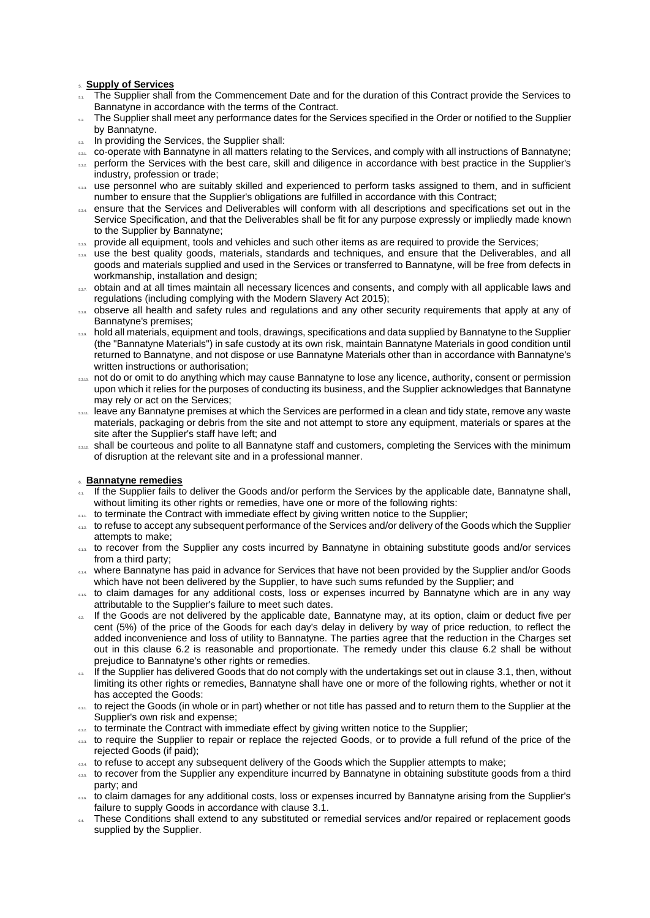### 5. **Supply of Services**

- The Supplier shall from the Commencement Date and for the duration of this Contract provide the Services to Bannatyne in accordance with the terms of the Contract.
- The Supplier shall meet any performance dates for the Services specified in the Order or notified to the Supplier by Bannatyne.
- 5.3. In providing the Services, the Supplier shall:
- 5.3.1. co-operate with Bannatyne in all matters relating to the Services, and comply with all instructions of Bannatyne;
- 5.3.2. perform the Services with the best care, skill and diligence in accordance with best practice in the Supplier's industry, profession or trade;
- 5.3.3. use personnel who are suitably skilled and experienced to perform tasks assigned to them, and in sufficient number to ensure that the Supplier's obligations are fulfilled in accordance with this Contract;
- 5.3.4. ensure that the Services and Deliverables will conform with all descriptions and specifications set out in the Service Specification, and that the Deliverables shall be fit for any purpose expressly or impliedly made known to the Supplier by Bannatyne;
- 5.3.5. provide all equipment, tools and vehicles and such other items as are required to provide the Services;
- 5.3.6. use the best quality goods, materials, standards and techniques, and ensure that the Deliverables, and all goods and materials supplied and used in the Services or transferred to Bannatyne, will be free from defects in workmanship, installation and design;
- 63.3.7. obtain and at all times maintain all necessary licences and consents, and comply with all applicable laws and regulations (including complying with the Modern Slavery Act 2015);
- 5.3.8. observe all health and safety rules and regulations and any other security requirements that apply at any of Bannatyne's premises;
- <span id="page-2-0"></span>5.3.9. hold all materials, equipment and tools, drawings, specifications and data supplied by Bannatyne to the Supplier (the "Bannatyne Materials") in safe custody at its own risk, maintain Bannatyne Materials in good condition until returned to Bannatyne, and not dispose or use Bannatyne Materials other than in accordance with Bannatyne's written instructions or authorisation;
- 5.3.10. not do or omit to do anything which may cause Bannatyne to lose any licence, authority, consent or permission upon which it relies for the purposes of conducting its business, and the Supplier acknowledges that Bannatyne may rely or act on the Services;
- 53.11. leave any Bannatyne premises at which the Services are performed in a clean and tidy state, remove any waste materials, packaging or debris from the site and not attempt to store any equipment, materials or spares at the site after the Supplier's staff have left; and
- 5.3.12. shall be courteous and polite to all Bannatyne staff and customers, completing the Services with the minimum of disruption at the relevant site and in a professional manner.

## 6. **Bannatyne remedies**

- <span id="page-2-1"></span>If the Supplier fails to deliver the Goods and/or perform the Services by the applicable date, Bannatyne shall, without limiting its other rights or remedies, have one or more of the following rights:
- **6.1.1.** to terminate the Contract with immediate effect by giving written notice to the Supplier;
- 6.12 to refuse to accept any subsequent performance of the Services and/or delivery of the Goods which the Supplier attempts to make;
- 613. to recover from the Supplier any costs incurred by Bannatyne in obtaining substitute goods and/or services from a third party;
- 614. where Bannatyne has paid in advance for Services that have not been provided by the Supplier and/or Goods which have not been delivered by the Supplier, to have such sums refunded by the Supplier; and
- 6.15. to claim damages for any additional costs, loss or expenses incurred by Bannatyne which are in any way attributable to the Supplier's failure to meet such dates.
- <span id="page-2-2"></span><sup>62</sup>. If the Goods are not delivered by the applicable date, Bannatyne may, at its option, claim or deduct five per cent (5%) of the price of the Goods for each day's delay in delivery by way of price reduction, to reflect the added inconvenience and loss of utility to Bannatyne. The parties agree that the reduction in the Charges set out in this clause [6.2](#page-2-2) is reasonable and proportionate. The remedy under this clause [6.2](#page-2-2) shall be without prejudice to Bannatyne's other rights or remedies.
- If the Supplier has delivered Goods that do not comply with the undertakings set out in clause [3.1,](#page-1-0) then, without limiting its other rights or remedies, Bannatyne shall have one or more of the following rights, whether or not it has accepted the Goods:
- 6.3.1. to reject the Goods (in whole or in part) whether or not title has passed and to return them to the Supplier at the Supplier's own risk and expense;
- 632. to terminate the Contract with immediate effect by giving written notice to the Supplier;
- 6.33. to require the Supplier to repair or replace the rejected Goods, or to provide a full refund of the price of the rejected Goods (if paid);
- $6.34$ , to refuse to accept any subsequent delivery of the Goods which the Supplier attempts to make;
- 635. to recover from the Supplier any expenditure incurred by Bannatyne in obtaining substitute goods from a third party; and
- 6.3.6. to claim damages for any additional costs, loss or expenses incurred by Bannatyne arising from the Supplier's failure to supply Goods in accordance with clause [3.1.](#page-1-0)
- 6.4. These Conditions shall extend to any substituted or remedial services and/or repaired or replacement goods supplied by the Supplier.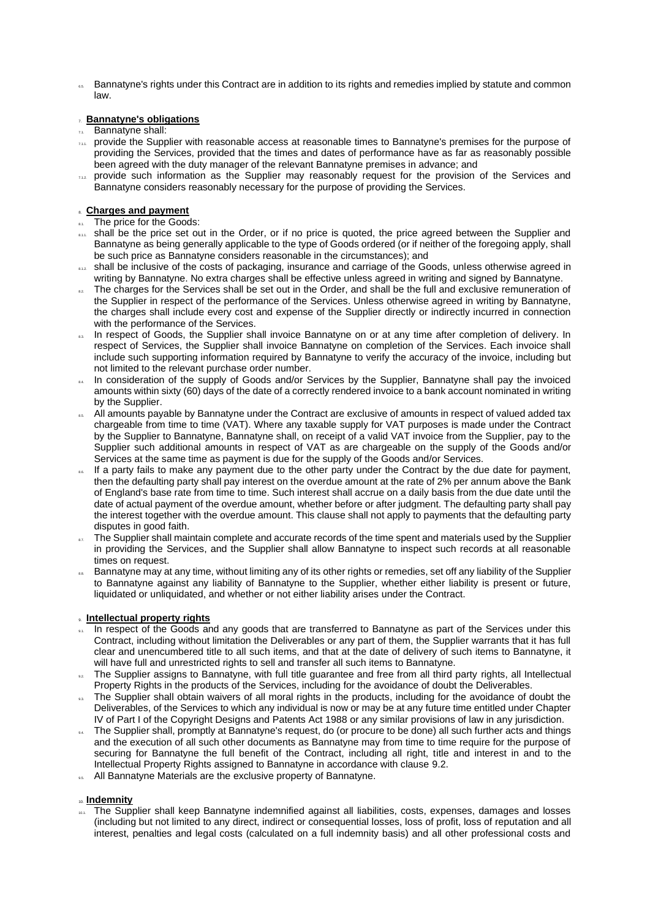6.5. Bannatyne's rights under this Contract are in addition to its rights and remedies implied by statute and common law.

## 7. **Bannatyne's obligations**

### 7.1. Bannatyne shall:

- 7.1.1. provide the Supplier with reasonable access at reasonable times to Bannatyne's premises for the purpose of providing the Services, provided that the times and dates of performance have as far as reasonably possible been agreed with the duty manager of the relevant Bannatyne premises in advance; and
- 7.12. provide such information as the Supplier may reasonably request for the provision of the Services and Bannatyne considers reasonably necessary for the purpose of providing the Services.

## 8. **Charges and payment**

- 8.1. The price for the Goods:
- 8.1.1. shall be the price set out in the Order, or if no price is quoted, the price agreed between the Supplier and Bannatyne as being generally applicable to the type of Goods ordered (or if neither of the foregoing apply, shall be such price as Bannatyne considers reasonable in the circumstances); and
- 812. shall be inclusive of the costs of packaging, insurance and carriage of the Goods, unless otherwise agreed in writing by Bannatyne. No extra charges shall be effective unless agreed in writing and signed by Bannatyne.
- 8.2. The charges for the Services shall be set out in the Order, and shall be the full and exclusive remuneration of the Supplier in respect of the performance of the Services. Unless otherwise agreed in writing by Bannatyne, the charges shall include every cost and expense of the Supplier directly or indirectly incurred in connection with the performance of the Services.
- ... In respect of Goods, the Supplier shall invoice Bannatyne on or at any time after completion of delivery. In respect of Services, the Supplier shall invoice Bannatyne on completion of the Services. Each invoice shall include such supporting information required by Bannatyne to verify the accuracy of the invoice, including but not limited to the relevant purchase order number.
- 8.4. In consideration of the supply of Goods and/or Services by the Supplier, Bannatyne shall pay the invoiced amounts within sixty (60) days of the date of a correctly rendered invoice to a bank account nominated in writing by the Supplier.
- <sup>86</sup>. All amounts payable by Bannatyne under the Contract are exclusive of amounts in respect of valued added tax chargeable from time to time (VAT). Where any taxable supply for VAT purposes is made under the Contract by the Supplier to Bannatyne, Bannatyne shall, on receipt of a valid VAT invoice from the Supplier, pay to the Supplier such additional amounts in respect of VAT as are chargeable on the supply of the Goods and/or Services at the same time as payment is due for the supply of the Goods and/or Services.
- If a party fails to make any payment due to the other party under the Contract by the due date for payment, then the defaulting party shall pay interest on the overdue amount at the rate of 2% per annum above the Bank of England's base rate from time to time. Such interest shall accrue on a daily basis from the due date until the date of actual payment of the overdue amount, whether before or after judgment. The defaulting party shall pay the interest together with the overdue amount. This clause shall not apply to payments that the defaulting party disputes in good faith.
- The Supplier shall maintain complete and accurate records of the time spent and materials used by the Supplier in providing the Services, and the Supplier shall allow Bannatyne to inspect such records at all reasonable times on request.
- Bannatyne may at any time, without limiting any of its other rights or remedies, set off any liability of the Supplier to Bannatyne against any liability of Bannatyne to the Supplier, whether either liability is present or future, liquidated or unliquidated, and whether or not either liability arises under the Contract.

## 9. **Intellectual property rights**

- ... In respect of the Goods and any goods that are transferred to Bannatyne as part of the Services under this Contract, including without limitation the Deliverables or any part of them, the Supplier warrants that it has full clear and unencumbered title to all such items, and that at the date of delivery of such items to Bannatyne, it will have full and unrestricted rights to sell and transfer all such items to Bannatyne.
- <span id="page-3-0"></span>.. The Supplier assigns to Bannatyne, with full title guarantee and free from all third party rights, all Intellectual Property Rights in the products of the Services, including for the avoidance of doubt the Deliverables.
- The Supplier shall obtain waivers of all moral rights in the products, including for the avoidance of doubt the Deliverables, of the Services to which any individual is now or may be at any future time entitled under Chapter IV of Part I of the Copyright Designs and Patents Act 1988 or any similar provisions of law in any jurisdiction.
- In 8upplier shall, promptly at Bannatyne's request, do (or procure to be done) all such further acts and things and the execution of all such other documents as Bannatyne may from time to time require for the purpose of securing for Bannatyne the full benefit of the Contract, including all right, title and interest in and to the Intellectual Property Rights assigned to Bannatyne in accordance with clause [9.2.](#page-3-0)
- **9.5.** All Bannatyne Materials are the exclusive property of Bannatyne.

### <span id="page-3-1"></span>10. **Indemnity**

10.1. The Supplier shall keep Bannatyne indemnified against all liabilities, costs, expenses, damages and losses (including but not limited to any direct, indirect or consequential losses, loss of profit, loss of reputation and all interest, penalties and legal costs (calculated on a full indemnity basis) and all other professional costs and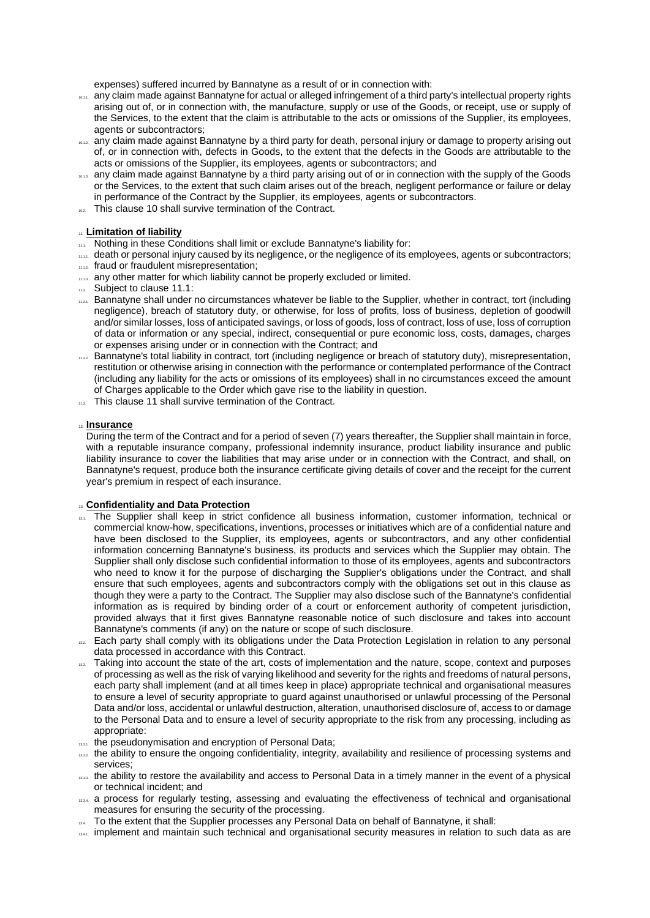expenses) suffered incurred by Bannatyne as a result of or in connection with:

- 10.1.1. any claim made against Bannatyne for actual or alleged infringement of a third party's intellectual property rights arising out of, or in connection with, the manufacture, supply or use of the Goods, or receipt, use or supply of the Services, to the extent that the claim is attributable to the acts or omissions of the Supplier, its employees, agents or subcontractors;
- 10.12. any claim made against Bannatyne by a third party for death, personal injury or damage to property arising out of, or in connection with, defects in Goods, to the extent that the defects in the Goods are attributable to the acts or omissions of the Supplier, its employees, agents or subcontractors; and
- 10.13. any claim made against Bannatyne by a third party arising out of or in connection with the supply of the Goods or the Services, to the extent that such claim arises out of the breach, negligent performance or failure or delay in performance of the Contract by the Supplier, its employees, agents or subcontractors.
- 10.2 This clause [10](#page-3-1) shall survive termination of the Contract.

### <span id="page-4-1"></span>11. **Limitation of liability**

- <span id="page-4-0"></span>11.1. Nothing in these Conditions shall limit or exclude Bannatyne's liability for:
- 11.1.1. death or personal injury caused by its negligence, or the negligence of its employees, agents or subcontractors; 11.12. fraud or fraudulent misrepresentation;
- 11.13. any other matter for which liability cannot be properly excluded or limited.
- $112$ . Subject to clause [11.1:](#page-4-0)
- 11.2.1. Bannatyne shall under no circumstances whatever be liable to the Supplier, whether in contract, tort (including negligence), breach of statutory duty, or otherwise, for loss of profits, loss of business, depletion of goodwill and/or similar losses, loss of anticipated savings, or loss of goods, loss of contract, loss of use, loss of corruption of data or information or any special, indirect, consequential or pure economic loss, costs, damages, charges or expenses arising under or in connection with the Contract; and
- 1122 Bannatyne's total liability in contract, tort (including negligence or breach of statutory duty), misrepresentation, restitution or otherwise arising in connection with the performance or contemplated performance of the Contract (including any liability for the acts or omissions of its employees) shall in no circumstances exceed the amount of Charges applicable to the Order which gave rise to the liability in question.
- 11.3. This clause [11](#page-4-1) shall survive termination of the Contract.

### 12. **Insurance**

During the term of the Contract and for a period of seven (7) years thereafter, the Supplier shall maintain in force, with a reputable insurance company, professional indemnity insurance, product liability insurance and public liability insurance to cover the liabilities that may arise under or in connection with the Contract, and shall, on Bannatyne's request, produce both the insurance certificate giving details of cover and the receipt for the current year's premium in respect of each insurance.

### <span id="page-4-2"></span>13. **Confidentiality and Data Protection**

- 13.1. The Supplier shall keep in strict confidence all business information, customer information, technical or commercial know-how, specifications, inventions, processes or initiatives which are of a confidential nature and have been disclosed to the Supplier, its employees, agents or subcontractors, and any other confidential information concerning Bannatyne's business, its products and services which the Supplier may obtain. The Supplier shall only disclose such confidential information to those of its employees, agents and subcontractors who need to know it for the purpose of discharging the Supplier's obligations under the Contract, and shall ensure that such employees, agents and subcontractors comply with the obligations set out in this clause as though they were a party to the Contract. The Supplier may also disclose such of the Bannatyne's confidential information as is required by binding order of a court or enforcement authority of competent jurisdiction, provided always that it first gives Bannatyne reasonable notice of such disclosure and takes into account Bannatyne's comments (if any) on the nature or scope of such disclosure.
- 13.2. Each party shall comply with its obligations under the Data Protection Legislation in relation to any personal data processed in accordance with this Contract.
- 13.3. Taking into account the state of the art, costs of implementation and the nature, scope, context and purposes of processing as well as the risk of varying likelihood and severity for the rights and freedoms of natural persons, each party shall implement (and at all times keep in place) appropriate technical and organisational measures to ensure a level of security appropriate to guard against unauthorised or unlawful processing of the Personal Data and/or loss, accidental or unlawful destruction, alteration, unauthorised disclosure of, access to or damage to the Personal Data and to ensure a level of security appropriate to the risk from any processing, including as appropriate:
- 13.3.1. the pseudonymisation and encryption of Personal Data;
- 13.32 the ability to ensure the ongoing confidentiality, integrity, availability and resilience of processing systems and services;
- 13.3. the ability to restore the availability and access to Personal Data in a timely manner in the event of a physical or technical incident; and
- 13.34. a process for regularly testing, assessing and evaluating the effectiveness of technical and organisational measures for ensuring the security of the processing.
- 13.4. To the extent that the Supplier processes any Personal Data on behalf of Bannatyne, it shall:
- 1341. implement and maintain such technical and organisational security measures in relation to such data as are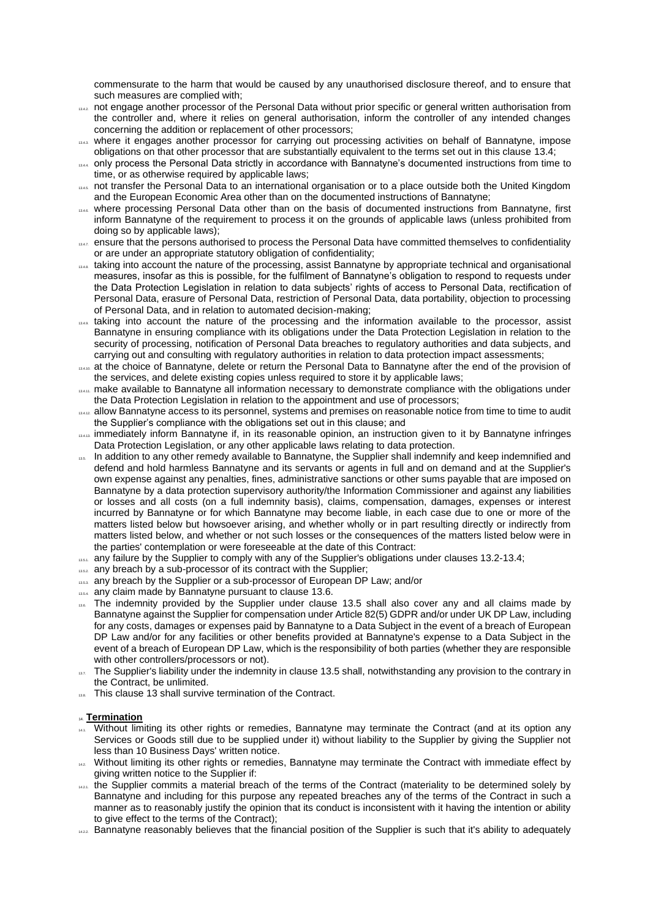commensurate to the harm that would be caused by any unauthorised disclosure thereof, and to ensure that such measures are complied with;

- 1342. not engage another processor of the Personal Data without prior specific or general written authorisation from the controller and, where it relies on general authorisation, inform the controller of any intended changes concerning the addition or replacement of other processors;
- where it engages another processor for carrying out processing activities on behalf of Bannatyne, impose obligations on that other processor that are substantially equivalent to the terms set out in this clause 13.4;
- 13.4.4 only process the Personal Data strictly in accordance with Bannatyne's documented instructions from time to time, or as otherwise required by applicable laws;
- 1345. not transfer the Personal Data to an international organisation or to a place outside both the United Kingdom and the European Economic Area other than on the documented instructions of Bannatyne;
- 13.4. where processing Personal Data other than on the basis of documented instructions from Bannatyne, first inform Bannatyne of the requirement to process it on the grounds of applicable laws (unless prohibited from doing so by applicable laws);
- 1347. ensure that the persons authorised to process the Personal Data have committed themselves to confidentiality or are under an appropriate statutory obligation of confidentiality;
- 1344 taking into account the nature of the processing, assist Bannatyne by appropriate technical and organisational measures, insofar as this is possible, for the fulfilment of Bannatyne's obligation to respond to requests under the Data Protection Legislation in relation to data subjects' rights of access to Personal Data, rectification of Personal Data, erasure of Personal Data, restriction of Personal Data, data portability, objection to processing of Personal Data, and in relation to automated decision-making;
- 1344. taking into account the nature of the processing and the information available to the processor, assist Bannatyne in ensuring compliance with its obligations under the Data Protection Legislation in relation to the security of processing, notification of Personal Data breaches to regulatory authorities and data subjects, and carrying out and consulting with regulatory authorities in relation to data protection impact assessments;
- at the choice of Bannatyne, delete or return the Personal Data to Bannatyne after the end of the provision of the services, and delete existing copies unless required to store it by applicable laws;
- 13.411. make available to Bannatyne all information necessary to demonstrate compliance with the obligations under the Data Protection Legislation in relation to the appointment and use of processors;
- 13.4.12. allow Bannatyne access to its personnel, systems and premises on reasonable notice from time to time to audit the Supplier's compliance with the obligations set out in this clause; and
- 13.43. immediately inform Bannatyne if, in its reasonable opinion, an instruction given to it by Bannatyne infringes Data Protection Legislation, or any other applicable laws relating to data protection.
- 13.5. In addition to any other remedy available to Bannatyne, the Supplier shall indemnify and keep indemnified and defend and hold harmless Bannatyne and its servants or agents in full and on demand and at the Supplier's own expense against any penalties, fines, administrative sanctions or other sums payable that are imposed on Bannatyne by a data protection supervisory authority/the Information Commissioner and against any liabilities or losses and all costs (on a full indemnity basis), claims, compensation, damages, expenses or interest incurred by Bannatyne or for which Bannatyne may become liable, in each case due to one or more of the matters listed below but howsoever arising, and whether wholly or in part resulting directly or indirectly from matters listed below, and whether or not such losses or the consequences of the matters listed below were in the parties' contemplation or were foreseeable at the date of this Contract:
- 13.5. any failure by the Supplier to comply with any of the Supplier's obligations under clauses 13.2-13.4;
- 13.5.2. any breach by a sub-processor of its contract with the Supplier;
- 13.5.3. any breach by the Supplier or a sub-processor of European DP Law; and/or
- 13.54. any claim made by Bannatyne pursuant to clause 13.6.
- 13.6. The indemnity provided by the Supplier under clause 13.5 shall also cover any and all claims made by Bannatyne against the Supplier for compensation under Article 82(5) GDPR and/or under UK DP Law, including for any costs, damages or expenses paid by Bannatyne to a Data Subject in the event of a breach of European DP Law and/or for any facilities or other benefits provided at Bannatyne's expense to a Data Subject in the event of a breach of European DP Law, which is the responsibility of both parties (whether they are responsible with other controllers/processors or not).
- 13.7. The Supplier's liability under the indemnity in clause 13.5 shall, notwithstanding any provision to the contrary in the Contract, be unlimited.
- This clause [13](#page-4-2) shall survive termination of the Contract.

### 14. **Termination**

- Without limiting its other rights or remedies, Bannatyne may terminate the Contract (and at its option any Services or Goods still due to be supplied under it) without liability to the Supplier by giving the Supplier not less than 10 Business Days' written notice.
- 14.2 Without limiting its other rights or remedies, Bannatyne may terminate the Contract with immediate effect by giving written notice to the Supplier if:
- 1421. the Supplier commits a material breach of the terms of the Contract (materiality to be determined solely by Bannatyne and including for this purpose any repeated breaches any of the terms of the Contract in such a manner as to reasonably justify the opinion that its conduct is inconsistent with it having the intention or ability to give effect to the terms of the Contract);
- 1422. Bannatyne reasonably believes that the financial position of the Supplier is such that it's ability to adequately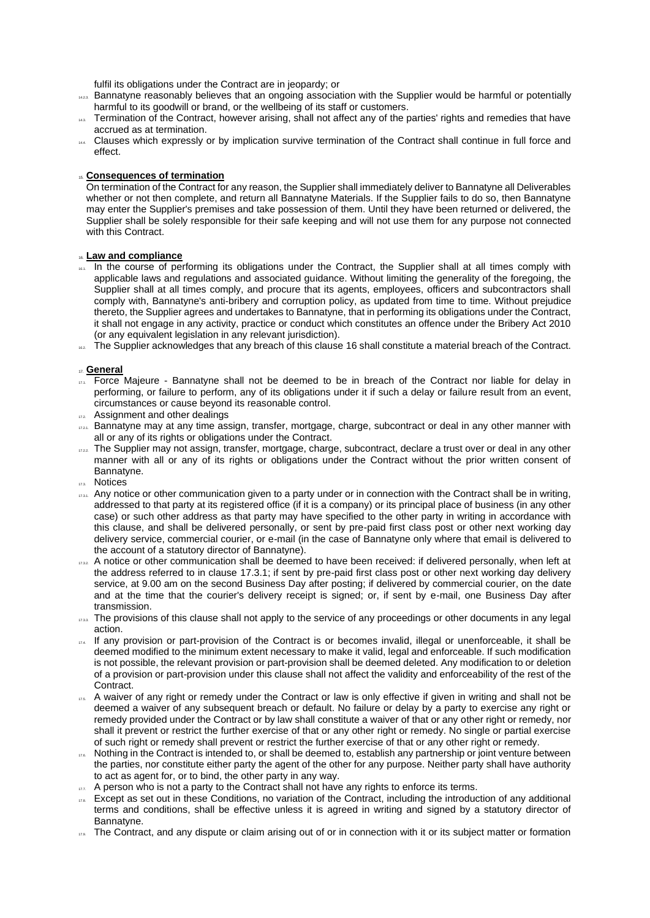fulfil its obligations under the Contract are in jeopardy; or

- 1423. Bannatyne reasonably believes that an ongoing association with the Supplier would be harmful or potentially harmful to its goodwill or brand, or the wellbeing of its staff or customers.
- 14.3. Termination of the Contract, however arising, shall not affect any of the parties' rights and remedies that have accrued as at termination.
- 14.4. Clauses which expressly or by implication survive termination of the Contract shall continue in full force and effect.

### 15. **Consequences of termination**

On termination of the Contract for any reason, the Supplier shall immediately deliver to Bannatyne all Deliverables whether or not then complete, and return all Bannatyne Materials. If the Supplier fails to do so, then Bannatyne may enter the Supplier's premises and take possession of them. Until they have been returned or delivered, the Supplier shall be solely responsible for their safe keeping and will not use them for any purpose not connected with this Contract.

### <span id="page-6-1"></span>16. **Law and compliance**

- 16.1. In the course of performing its obligations under the Contract, the Supplier shall at all times comply with applicable laws and regulations and associated guidance. Without limiting the generality of the foregoing, the Supplier shall at all times comply, and procure that its agents, employees, officers and subcontractors shall comply with, Bannatyne's anti-bribery and corruption policy, as updated from time to time. Without prejudice thereto, the Supplier agrees and undertakes to Bannatyne, that in performing its obligations under the Contract, it shall not engage in any activity, practice or conduct which constitutes an offence under the Bribery Act 2010 (or any equivalent legislation in any relevant jurisdiction).
- <sup>16.2</sup> The Supplier acknowledges that any breach of this clause [16](#page-6-1) shall constitute a material breach of the Contract.

#### 17. **General**

- The True Majeure Bannatyne shall not be deemed to be in breach of the Contract nor liable for delay in performing, or failure to perform, any of its obligations under it if such a delay or failure result from an event, circumstances or cause beyond its reasonable control.
- 17.2. Assignment and other dealings
- $n_{21}$ . Bannatyne may at any time assign, transfer, mortgage, charge, subcontract or deal in any other manner with all or any of its rights or obligations under the Contract.
- $1722$  The Supplier may not assign, transfer, mortgage, charge, subcontract, declare a trust over or deal in any other manner with all or any of its rights or obligations under the Contract without the prior written consent of Bannatyne.
- 17.3. Notices
- <span id="page-6-2"></span> $17.31$ . Any notice or other communication given to a party under or in connection with the Contract shall be in writing, addressed to that party at its registered office (if it is a company) or its principal place of business (in any other case) or such other address as that party may have specified to the other party in writing in accordance with this clause, and shall be delivered personally, or sent by pre-paid first class post or other next working day delivery service, commercial courier, or e-mail (in the case of Bannatyne only where that email is delivered to the account of a statutory director of Bannatyne).
- $17.32$  A notice or other communication shall be deemed to have been received: if delivered personally, when left at the address referred to in clause [17.3.1;](#page-6-2) if sent by pre-paid first class post or other next working day delivery service, at 9.00 am on the second Business Day after posting; if delivered by commercial courier, on the date and at the time that the courier's delivery receipt is signed; or, if sent by e-mail, one Business Day after transmission.
- $173.3$  The provisions of this clause shall not apply to the service of any proceedings or other documents in any legal action.
- $\frac{1}{174}$ . If any provision or part-provision of the Contract is or becomes invalid, illegal or unenforceable, it shall be deemed modified to the minimum extent necessary to make it valid, legal and enforceable. If such modification is not possible, the relevant provision or part-provision shall be deemed deleted. Any modification to or deletion of a provision or part-provision under this clause shall not affect the validity and enforceability of the rest of the Contract.
- 17.5. A waiver of any right or remedy under the Contract or law is only effective if given in writing and shall not be deemed a waiver of any subsequent breach or default. No failure or delay by a party to exercise any right or remedy provided under the Contract or by law shall constitute a waiver of that or any other right or remedy, nor shall it prevent or restrict the further exercise of that or any other right or remedy. No single or partial exercise of such right or remedy shall prevent or restrict the further exercise of that or any other right or remedy.
- $17.66$  Nothing in the Contract is intended to, or shall be deemed to, establish any partnership or joint venture between the parties, nor constitute either party the agent of the other for any purpose. Neither party shall have authority to act as agent for, or to bind, the other party in any way.
- $17.7.$  A person who is not a party to the Contract shall not have any rights to enforce its terms.
- <span id="page-6-0"></span> $17.8$  Except as set out in these Conditions, no variation of the Contract, including the introduction of any additional terms and conditions, shall be effective unless it is agreed in writing and signed by a statutory director of Bannatyne.
- $\pi$ <sup>9</sup>. The Contract, and any dispute or claim arising out of or in connection with it or its subject matter or formation